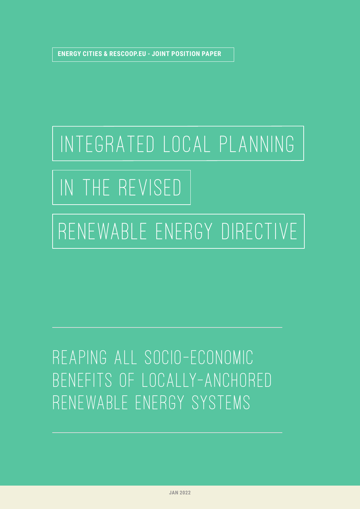**ENERGY CITIES & RESCOOP.EU - JOINT POSITION PAPER**

# iNTEGRATED LOCAL PLANNING

# IN THE REVISED

## RENEWABLE ENERGY DIRECTIVE

## reapING all socio-economic benefits of locally-anchored renewable energy systems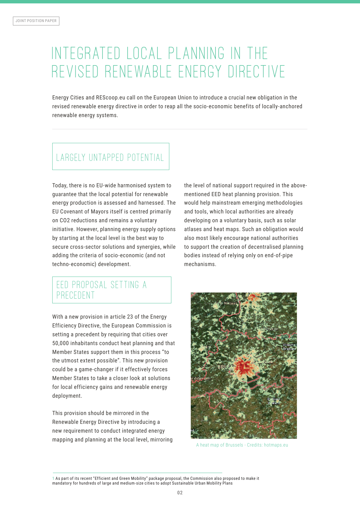### Integrated local planning in the REVISED RENEWABLE ENERGY DIRFCTIVE

Energy Cities and REScoop.eu call on the European Union to introduce a crucial new obligation in the revised renewable energy directive in order to reap all the socio-economic benefits of locally-anchored renewable energy systems.

#### Largely untapped potential

Today, there is no EU-wide harmonised system to guarantee that the local potential for renewable energy production is assessed and harnessed. The EU Covenant of Mayors itself is centred primarily on CO2 reductions and remains a voluntary initiative. However, planning energy supply options by starting at the local level is the best way to secure cross-sector solutions and synergies, while adding the criteria of socio-economic (and not techno-economic) development.

#### EED proposal setting a PRECEDENT

With a new provision in article 23 of the Energy Efficiency Directive, the European Commission is setting a precedent by requiring that cities over 50,000 inhabitants conduct heat planning and that Member States support them in this process "to the utmost extent possible". This new provision could be a game-changer if it effectively forces Member States to take a closer look at solutions for local efficiency gains and renewable energy deployment.

This provision should be mirrored in the Renewable Energy Directive by introducing a new requirement to conduct integrated energy mapping and planning at the local level, mirroring the level of national support required in the abovementioned EED heat planning provision. This would help mainstream emerging methodologies and tools, which local authorities are already developing on a voluntary basis, such as solar atlases and heat maps. Such an obligation would also most likely encourage national authorities to support the creation of decentralised planning bodies instead of relying only on end-of-pipe mechanisms.



A heat map of Brussels - Credits: hotmaps.eu

1 As part of its recent "Efficient and Green Mobility" package proposal, the Commission also proposed to make it mandatory for hundreds of large and medium-size cities to adopt Sustainable Urban Mobility Plans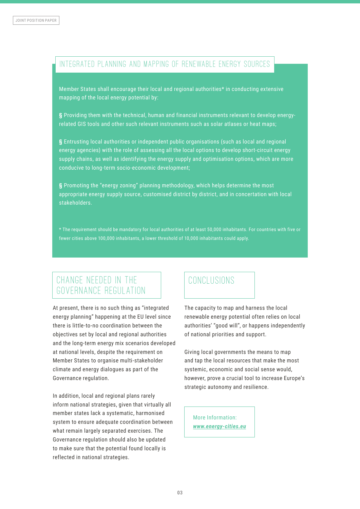#### Integrated planning and mapping of renewable energy sources

Member States shall encourage their local and regional authorities\* in conducting extensive mapping of the local energy potential by:

**§** Providing them with the technical, human and financial instruments relevant to develop energyrelated GIS tools and other such relevant instruments such as solar atlases or heat maps;

**§** Entrusting local authorities or independent public organisations (such as local and regional energy agencies) with the role of assessing all the local options to develop short-circuit energy supply chains, as well as identifying the energy supply and optimisation options, which are more conducive to long-term socio-economic development;

**§** Promoting the "energy zoning" planning methodology, which helps determine the most appropriate energy supply source, customised district by district, and in concertation with local stakeholders.

\* The requirement should be mandatory for local authorities of at least 50,000 inhabitants. For countries with five or fewer cities above 100,000 inhabitants, a lower threshold of 10,000 inhabitants could apply.

#### change needed in the Governance Regulation

At present, there is no such thing as "integrated energy planning" happening at the EU level since there is little-to-no coordination between the objectives set by local and regional authorities and the long-term energy mix scenarios developed at national levels, despite the requirement on Member States to organise multi-stakeholder climate and energy dialogues as part of the Governance regulation.

In addition, local and regional plans rarely inform national strategies, given that virtually all member states lack a systematic, harmonised system to ensure adequate coordination between what remain largely separated exercises. The Governance regulation should also be updated to make sure that the potential found locally is reflected in national strategies.

#### Conclusions

The capacity to map and harness the local renewable energy potential often relies on local authorities' "good will", or happens independently of national priorities and support.

Giving local governments the means to map and tap the local resources that make the most systemic, economic and social sense would, however, prove a crucial tool to increase Europe's strategic autonomy and resilience.

More Information: *www.energy-cities.eu*